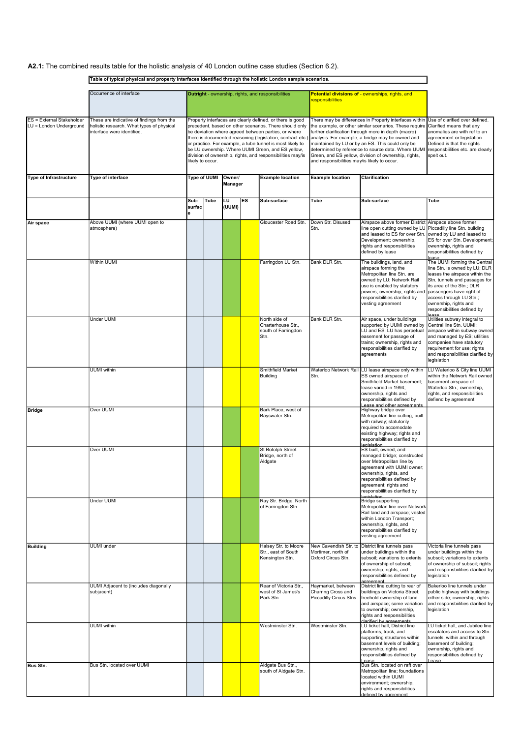|                                                             | Table of typical physical and property interfaces identified through the holistic London sample scenarios.           |                                                                                                                                                                                                                                                                                                                                                                                                                                                                                               |      |                          |           |                                                                    |                                                                                                                                                                                                                                                                                                                                 |                                                                                                                                                                                                                                                                  |                                                                                                                                                                                                                                                                                       |  |
|-------------------------------------------------------------|----------------------------------------------------------------------------------------------------------------------|-----------------------------------------------------------------------------------------------------------------------------------------------------------------------------------------------------------------------------------------------------------------------------------------------------------------------------------------------------------------------------------------------------------------------------------------------------------------------------------------------|------|--------------------------|-----------|--------------------------------------------------------------------|---------------------------------------------------------------------------------------------------------------------------------------------------------------------------------------------------------------------------------------------------------------------------------------------------------------------------------|------------------------------------------------------------------------------------------------------------------------------------------------------------------------------------------------------------------------------------------------------------------|---------------------------------------------------------------------------------------------------------------------------------------------------------------------------------------------------------------------------------------------------------------------------------------|--|
|                                                             | Occurrence of interface                                                                                              |                                                                                                                                                                                                                                                                                                                                                                                                                                                                                               |      |                          |           |                                                                    |                                                                                                                                                                                                                                                                                                                                 | Potential divisions of - ownerships, rights, and                                                                                                                                                                                                                 |                                                                                                                                                                                                                                                                                       |  |
|                                                             |                                                                                                                      | Outright - ownership, rights, and responsibilities<br><b>responsibilities</b>                                                                                                                                                                                                                                                                                                                                                                                                                 |      |                          |           |                                                                    |                                                                                                                                                                                                                                                                                                                                 |                                                                                                                                                                                                                                                                  |                                                                                                                                                                                                                                                                                       |  |
|                                                             |                                                                                                                      |                                                                                                                                                                                                                                                                                                                                                                                                                                                                                               |      |                          |           |                                                                    |                                                                                                                                                                                                                                                                                                                                 |                                                                                                                                                                                                                                                                  |                                                                                                                                                                                                                                                                                       |  |
| <b>ES = External Stakeholder</b><br>LU = London Underground | These are indicative of findings from the<br>holistic research. What types of physical<br>interface were identified. | Property interfaces are clearly defined, or there is good<br>precedent, based on other scenarios. There should only<br>be deviation where agreed between parties, or where<br>there is documented reasoning (legislation, contract etc.) analysis. For example, a bridge may be owned and<br>or practice. For example, a tube tunnel is most likely to<br>be LU ownership. Where UUMI Green, and ES yellow,<br>division of ownership, rights, and responsibilities may/is<br>likely to occur. |      |                          |           |                                                                    | the example, or other similar scenarios. These require<br>further clarification through more in depth (macro)<br>maintained by LU or by an ES. This could only be<br>determined by reference to source data. Where UUMI<br>Green, and ES yellow, division of ownership, rights,<br>and responsibilities may/is likely to occur. | There may be differences in Property interfaces within Use of clarified over defined.<br>Clarified means that any<br>anomalies are with ref to an<br>agreeement or legislation.<br>Defined is that the rights<br>responsbiilities etc. are clearly<br>spelt out. |                                                                                                                                                                                                                                                                                       |  |
| <b>Type of Infrastructure</b>                               | Type of interface                                                                                                    | <b>Type of UUMI</b>                                                                                                                                                                                                                                                                                                                                                                                                                                                                           |      | Owner/<br><b>Manager</b> |           | <b>Example location</b>                                            | <b>Example location</b><br><b>Clarification</b>                                                                                                                                                                                                                                                                                 |                                                                                                                                                                                                                                                                  |                                                                                                                                                                                                                                                                                       |  |
|                                                             |                                                                                                                      | Sub-<br>surfac<br>le                                                                                                                                                                                                                                                                                                                                                                                                                                                                          | Tube | LU<br>(UUMI)             | <b>ES</b> | Sub-surface                                                        | Tube                                                                                                                                                                                                                                                                                                                            | <b>S</b> ub-surface                                                                                                                                                                                                                                              | <b>Tube</b>                                                                                                                                                                                                                                                                           |  |
| Air space                                                   | Above UUMI (where UUMI open to<br>atmosphere)                                                                        |                                                                                                                                                                                                                                                                                                                                                                                                                                                                                               |      |                          |           | Gloucester Road Stn.                                               | Down Str. Disused<br>Stn.                                                                                                                                                                                                                                                                                                       | Airspace above former District Airspace above former<br>line open cutting owned by LU<br>and leased to ES for over Stn. owned by LU and leased to<br>Development; ownership,<br>rights and responsibilities<br>defined by lease                                  | Piccadilly line Stn. building<br>ES for over Stn. Development;<br>owenrship, rights and<br>responsibilities defined by<br><b>lease</b>                                                                                                                                                |  |
|                                                             | Within UUMI                                                                                                          |                                                                                                                                                                                                                                                                                                                                                                                                                                                                                               |      |                          |           | Farringdon LU Stn.                                                 | Bank DLR Stn.                                                                                                                                                                                                                                                                                                                   | The buildings, land, and<br>airspace forming the<br>Metropolitan line Stn. are<br>owned by LU; Network Rail<br>use is enabled by statutory<br>powers; ownership, rights and<br>responsibilities clarified by<br>vesting agreement                                | The UUMI forming the Central<br>line Stn. is owned by LU; DLR<br>leases the airspace within the<br>Stn. tunnels and passages for<br>its area of the Stn.; DLR<br>passengers have right of<br>access through LU Stn.;<br>ownership, rights and<br>responsibilities defined by<br>ععدما |  |
|                                                             | Under UUMI                                                                                                           |                                                                                                                                                                                                                                                                                                                                                                                                                                                                                               |      |                          |           | North side of<br>Charterhouse Str.,<br>south of Farringdon<br>Stn. | Bank DLR Stn.                                                                                                                                                                                                                                                                                                                   | Air space, under buildings<br>supported by UUMI owned by<br>LU and ES; LU has perpetual<br>easement for passage of<br>trains; ownership, rights and<br>responsibilities clarified by<br>∣agreements                                                              | Utilities subway integral to<br>Central line Stn. UUMI;<br>airspace within subway owned<br>and managed by ES; utilities<br>companies have statutory<br>requirement for use; rights<br>and responsibilities clarified by<br>legislation                                                |  |
|                                                             | <b>UUMI</b> within                                                                                                   |                                                                                                                                                                                                                                                                                                                                                                                                                                                                                               |      |                          |           | <b>Smithfield Market</b><br>Building                               | Stn.                                                                                                                                                                                                                                                                                                                            | Waterloo Network Rail LU lease airspace only within<br>ES owned airspace of<br>Smithfield Market basement:<br>lease varied in 1994;<br>ownership, rights and<br>responsibilities defined by<br>l ease and other agreements                                       | LU Waterloo & City line UUMI<br>within the Network Rail owned<br>Ibasement airspace of<br>Waterloo Stn.; ownership,<br>rights, and responsibilities<br>defiend by agreement                                                                                                           |  |
| <b>Bridge</b>                                               | Over UUMI                                                                                                            |                                                                                                                                                                                                                                                                                                                                                                                                                                                                                               |      |                          |           | Bark Place, west of<br>Bayswater Stn.                              |                                                                                                                                                                                                                                                                                                                                 | Highway bridge over<br>Metropolitan line cutting, built<br>with railway; statutorily<br>required to accomodate<br>existing highway; rights and<br>responsibilities clarified by<br><b>legislation</b>                                                            |                                                                                                                                                                                                                                                                                       |  |
|                                                             | Over UUMI                                                                                                            |                                                                                                                                                                                                                                                                                                                                                                                                                                                                                               |      |                          |           | St Botolph Street<br>Bridge, north of<br>Aldgate                   |                                                                                                                                                                                                                                                                                                                                 | ES built, owned, and<br>managed bridge; constructed<br>over Metropolitan line by<br>agreement with UUMI owner;<br>ownership, rights, and<br>responsibilities defined by<br>agreement; rights and<br>responsbiilities clarified by<br><b>Legislation</b>          |                                                                                                                                                                                                                                                                                       |  |
|                                                             | Under UUMI                                                                                                           |                                                                                                                                                                                                                                                                                                                                                                                                                                                                                               |      |                          |           | Ray Str. Bridge, North<br>of Farringdon Stn.                       |                                                                                                                                                                                                                                                                                                                                 | Bridge supporting<br>Metropolitan line over Network<br>Rail land and airspace; vested<br>within London Transport;<br>ownership, rights, and<br>responsibilities clarified by<br>vesting agreement                                                                |                                                                                                                                                                                                                                                                                       |  |
| <b>Building</b>                                             | <b>UUMI</b> under                                                                                                    |                                                                                                                                                                                                                                                                                                                                                                                                                                                                                               |      |                          |           | Halsey Str. to Moore<br>Str., east of South<br>Kensington Stn.     | Mortimer, north of<br>Oxford Circus Stn.                                                                                                                                                                                                                                                                                        | New Cavendish Str. to District line tunnels pass<br>under buildings within the<br>subsoil; variations to extents<br>of ownership of subsoil;<br>ownership, rights, and<br>responsibilities defined by<br>agreement                                               | Victoria line tunnels pass<br>under buildings within the<br>subsoil; variations to extents<br>of ownership of subsoil; rights<br>and responsbiilities clarified by<br>legislation                                                                                                     |  |
|                                                             | UUMI Adjacent to (includes diagonally<br>subjacent)                                                                  |                                                                                                                                                                                                                                                                                                                                                                                                                                                                                               |      |                          |           | Rear of Victoria Str.,<br>west of St James's<br>Park Stn.          | Haymarket, between<br>Charring Cross and<br>Piccadilly Circus Stns.                                                                                                                                                                                                                                                             | District line cutting to rear of<br>buildings on Victoria Street;<br>freehold ownership of land<br>and airspace; some variation<br>to ownership; ownership,<br>rights and responsibilities<br>clarified by agreements                                            | Bakerloo line tunnels under<br>public highway with buildings<br>either side; ownership, rights<br>and responsbilities clarified by<br>legislation                                                                                                                                     |  |
|                                                             | <b>UUMI</b> within                                                                                                   |                                                                                                                                                                                                                                                                                                                                                                                                                                                                                               |      |                          |           | Westminster Stn.                                                   | Westminster Stn.                                                                                                                                                                                                                                                                                                                | LU ticket hall, District line<br>platforms, track, and<br>supporting structures within<br>basement levels of building;<br>ownership, rights and<br>responsibilities defined by<br>Lease                                                                          | LU ticket hall, and Jubilee line<br>escalators and access to Stn<br>tunnels, within and through<br>basement of building;<br>ownership, rights and<br>responsibilities defined by<br>Lease                                                                                             |  |
| Bus Stn.                                                    | Bus Stn. located over UUMI                                                                                           |                                                                                                                                                                                                                                                                                                                                                                                                                                                                                               |      |                          |           | Aldgate Bus Stn.,<br>south of Aldgate Stn.                         |                                                                                                                                                                                                                                                                                                                                 | Bus Stn. located on raft over<br>Metropolitan line; foundations<br>located within UUMI<br>environment; ownership,<br>rights and responsibilities<br>defined by agreement                                                                                         |                                                                                                                                                                                                                                                                                       |  |

A2.1: The combined results table for the holistic analysis of 40 London outline case studies (Section 6.2).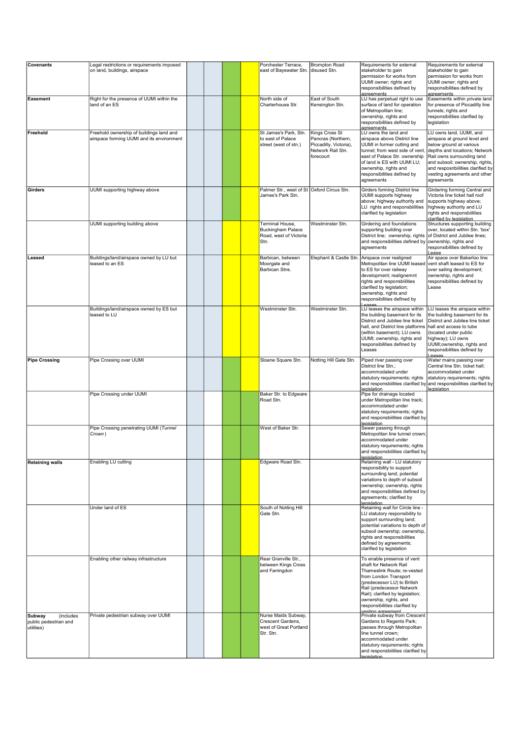| <b>Covenants</b>                                           | Legal restrictions or requirements imposed                                            |  |  | Porchester Terrace,                                                                  | <b>Brompton Road</b>                                                                             | Requirements for external                                                                                                                                                                                                                                                                                                    | Requirements for external                                                                                                                                                                                                                                               |
|------------------------------------------------------------|---------------------------------------------------------------------------------------|--|--|--------------------------------------------------------------------------------------|--------------------------------------------------------------------------------------------------|------------------------------------------------------------------------------------------------------------------------------------------------------------------------------------------------------------------------------------------------------------------------------------------------------------------------------|-------------------------------------------------------------------------------------------------------------------------------------------------------------------------------------------------------------------------------------------------------------------------|
|                                                            | on land, buildings, airspace                                                          |  |  | east of Bayswater Stn. disused Stn.                                                  |                                                                                                  | stakeholder to gain<br>permission for works from<br>UUMI owner; rights and<br>responsibilities defined by<br>agreements                                                                                                                                                                                                      | stakeholder to gain<br>permission for works from<br>UUMI owner; rights and<br>responsibilities defined by<br>agreements                                                                                                                                                 |
| Easement                                                   | Right for the presence of UUMI within the<br>land of an ES                            |  |  | North side of<br>Charterhouse Str.                                                   | East of South<br>Kensington Stn.                                                                 | LU has perpetual right to use<br>surface of land for operation<br>of Metropolitan line;<br>ownership, rights and<br>responsibilities defined by<br>agreements                                                                                                                                                                | Easements within private land<br>for presence of Piccadilly line<br>tunnels; rights and<br>responsibilities clarified by<br>legislation                                                                                                                                 |
| Freehold                                                   | Freehold ownership of buildings land and<br>airspace forming UUMI and its environment |  |  | St James's Park, Stn.<br>to east of Palace<br>street (west of stn.)                  | Kings Cross St<br>Pancras (Northern,<br>Piccadilly, Victoria),<br>Network Rail Stn.<br>forecourt | LU owns the land and<br>airspace above District line<br>UUMI in former cutting and<br>tunnel; from west side of vent.<br>east of Palace Str. ownership<br>of land is ES with UUMI LU;<br>ownership, rights and<br>responsibilities defined by<br>agreements                                                                  | LU owns land, UUMI, and<br>airspace at ground level and<br>below ground at various<br>depths and locations; Network<br>Rail owns surrounding land<br>and subsoil; ownership, rights,<br>and resposnbiilities clarified by<br>vesting agreements and other<br>agreements |
| Girders                                                    | UUMI supporting highway above                                                         |  |  | Palmer Str., west of St Oxford Circus Stn.<br>James's Park Stn.                      |                                                                                                  | <b>Girders forming District line</b><br>UUMI supports highway<br>above; highway authority and<br>LU rights and responsbiilities<br>clarified by legislation                                                                                                                                                                  | Girdering forming Central and<br>Victoria line ticket hall roof<br>supports highway above;<br>highway authority and LU<br>rights and responsbiilities<br>clarified by legislation                                                                                       |
|                                                            | UUMI supporting building above                                                        |  |  | Terminal House,<br><b>Buckingham Palace</b><br>Road, west of Victoria<br>Stn.        | Westminster Stn.                                                                                 | Girdering and foundations<br>supporting building over<br>District line; ownership, rights<br>and responsibilities defined by ownership, rights and<br>agreements                                                                                                                                                             | Structures supporting building<br>over, located within Stn. 'box'<br>of District and Jubilee lines;<br>responsibilities defined by<br>Lease                                                                                                                             |
| ∣Leased                                                    | Buildings/land/airspace owned by LU but<br>leased to an ES                            |  |  | Barbican, between<br>Moorgate and<br>Barbican Stns.                                  | Elephant & Castle Stn.                                                                           | Airspace over realigned<br>Metropolitan line UUMI leased<br>to ES for over railway<br>development; realignemnt<br>rights and responsbiilities<br>clarified by legislation;<br>ownership, rights and<br>responsibilities defined by<br><b>PARAL</b>                                                                           | Air space over Bakerloo line<br>vent shaft leased to ES for<br>over sailing development;<br>ownership, rights and<br>responsibilities defined by<br>Lease                                                                                                               |
|                                                            | Buildings/land/airspace owned by ES but<br>leased to LU                               |  |  | Westminster Stn.                                                                     | Westminster Stn.                                                                                 | LU leases the airspace within<br>the building basement for its<br>District and Jubilee line ticket<br>hall, and District line platforms<br>(within basement); LU owns<br>UUMI; ownership, rights and<br>responsibilities defined by<br>Leases                                                                                | LU leases the airspace within<br>the building basement for its<br>District and Jubilee line ticket<br>hall and access to tube<br>(located under public<br>highway); LU owns<br>UUMI;ownership, rights and<br>responsibilities defined by<br><b>PARAL</b>                |
| <b>Pipe Crossing</b>                                       | Pipe Crossing over UUMI                                                               |  |  | Sloane Square Stn.                                                                   | Notting Hill Gate Stn.                                                                           | Piped river passing over<br>District line Stn.;<br>accommodated under<br>statutory requirements; rights<br>legislation                                                                                                                                                                                                       | Water mains passing over<br>Central line Stn. ticket hall;<br>accommodated under<br>statutory requirements; rights<br>and responsbiilities clarified by and responsbiilities clarified by<br>legislation                                                                |
|                                                            | Pipe Crossing under UUMI                                                              |  |  | Baker Str. to Edgware<br>Road Stn.                                                   |                                                                                                  | Pipe for drainage located<br>under Metropolitan line track;<br>accommodated under<br>statutory requirements; rights<br>and responsbiilities clarified by<br>legislation                                                                                                                                                      |                                                                                                                                                                                                                                                                         |
|                                                            | Pipe Crossing penetrating UUMI (Tunnel<br>Crown)                                      |  |  | West of Baker Str.                                                                   |                                                                                                  | Sewer passing through<br>Metropolitan line tunnel crown;<br>accommodated under<br>statutory requirements; rights<br>and responsbiilities clarified by<br>egislation                                                                                                                                                          |                                                                                                                                                                                                                                                                         |
| <b>Retaining walls</b>                                     | Enabling LU cutting                                                                   |  |  | Edgware Road Stn.                                                                    |                                                                                                  | Retaining wall - LU statutory<br>responsibility to support<br>surrounding land; potential<br>variations to depth of subsoil<br>ownership; ownership, rights<br>and responsibilities defined by<br>agreements; clarified by<br>legislation                                                                                    |                                                                                                                                                                                                                                                                         |
|                                                            | Under land of ES                                                                      |  |  | South of Notting Hill<br>Gate Stn.                                                   |                                                                                                  | Retaining wall for Circle line -<br>LU statutory responsibility to<br>support surrounding land;<br>potential variations to depth of<br>subsoil ownership; ownership,<br>rights and responsibilities<br>defined by agreements;<br>clarified by legislation                                                                    |                                                                                                                                                                                                                                                                         |
|                                                            | Enabling other railway infrastructure<br>Private pedestrian subway over UUMI          |  |  | Rear Granville Str.,<br>between Kings Cross<br>and Farringdon<br>Nurse Maids Subway, |                                                                                                  | To enable presence of vent<br>shaft for Network Rail<br>Thameslink Route; re-vested<br>from London Transport<br>(predecessor LU) to British<br>Rail (predecessor Network<br>Rail); clarified by legislation;<br>ownership, rights, and<br>responsibilities clarified by<br>vesting agreement<br>Private subway from Crescent |                                                                                                                                                                                                                                                                         |
| Subway<br>(includes<br>public pedestrian and<br>utilities) |                                                                                       |  |  | Crescent Gardens,<br>west of Great Portland<br>Str. Stn.                             |                                                                                                  | Gardens to Regents Park;<br>passes through Metropolitan<br>line tunnel crown;<br>accommodated under<br>statutory requirements; rights<br>and responsbiilities clarified by<br><b>legislation</b>                                                                                                                             |                                                                                                                                                                                                                                                                         |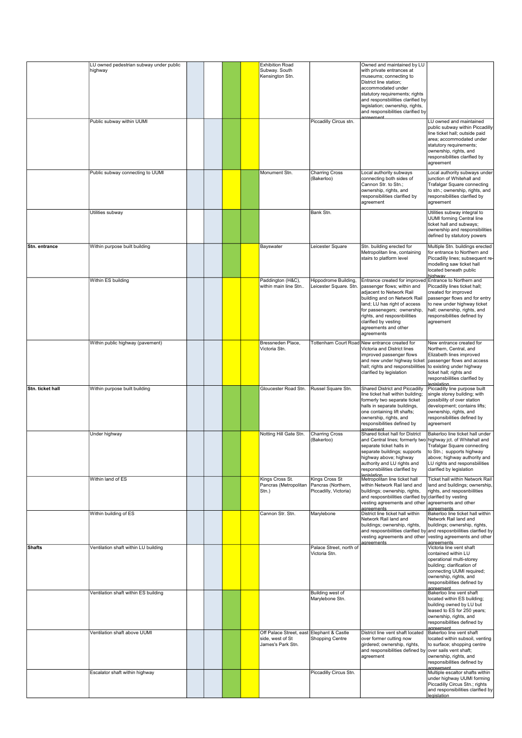|                  |                                                    |  |  | <b>Exhibition Road</b>                                                             |                                                |                                                                                                                                                                                                                                                                                                               |                                                                                                                                                                                                                              |
|------------------|----------------------------------------------------|--|--|------------------------------------------------------------------------------------|------------------------------------------------|---------------------------------------------------------------------------------------------------------------------------------------------------------------------------------------------------------------------------------------------------------------------------------------------------------------|------------------------------------------------------------------------------------------------------------------------------------------------------------------------------------------------------------------------------|
|                  | LU owned pedestrian subway under public<br>highway |  |  | Subway. South<br>Kensington Stn.                                                   |                                                | Owned and maintained by LU<br>with private entrances at<br>museums; connecting to<br>District line station;<br>accommodated under<br>statutory requirements; rights<br>and responsbiilities clarified by<br>legislation; ownership, rights,<br>and responsibilities clarified by<br>agreement                 |                                                                                                                                                                                                                              |
|                  | Public subway within UUMI                          |  |  |                                                                                    | Piccadilly Circus stn.                         |                                                                                                                                                                                                                                                                                                               | LU owned and maintained<br>public subway within Piccadilly<br>line ticket hall; outside paid<br>larea: accommodated under<br>statutory requirements;<br>ownership, rights, and<br>responsibilities clarified by<br>agreement |
|                  | Public subway connecting to UUMI                   |  |  | Monument Stn.                                                                      | <b>Charring Cross</b><br>(Bakerloo)            | Local authority subways<br>connecting both sides of<br>Cannon Str. to Stn.;<br>ownership, rights, and<br>responsibilities clarified by<br>agreement                                                                                                                                                           | Local authority subways under<br>junction of Whitehall and<br>Trafalgar Square connecting<br>to stn.; ownership, rights, and<br>responsibilities clarified by<br>agreement                                                   |
|                  | Utilities subway                                   |  |  |                                                                                    | Bank Stn.                                      |                                                                                                                                                                                                                                                                                                               | Utilities subway integral to<br><b>UUMI</b> forming Central line<br>ticket hall and subways;<br>ownership and responsibilities<br>defined by statutory powers                                                                |
| Stn. entrance    | Within purpose built building                      |  |  | Bayswater                                                                          | Leicester Square                               | Stn. building erected for<br>Metropolitan line, containing<br>stairs to platform level                                                                                                                                                                                                                        | Multiple Stn. buildings erected<br>for entrance to Northern and<br>Piccadilly lines; subsequent re-<br>modelling saw ticket hall<br>located beneath public<br>highway                                                        |
|                  | Within ES building                                 |  |  | Paddington (H&C),<br>within main line Stn                                          | Hippodrome Building,<br>Leicester Square. Stn. | Entrance created for improved Entrance to Northern and<br>passenger flows; within and<br>adjacent to Network Rail<br>building and on Network Rail<br>land; LU has right of access<br>for passenegers; ownership<br>rights, and resposnbiilities<br>clarified by vesting<br>agreements and other<br>agreements | Piccadilly lines ticket hall;<br>created for improved<br>passenger flows and for entry<br>to new under highway ticket<br>hall; ownership, rights, and<br>responsibilities defined by<br>agreement                            |
|                  | Within public highway (pavement)                   |  |  | Bressneden Place.<br>Victoria Stn.                                                 |                                                | Tottenham Court RoadİNew entrance created for<br>Victoria and District lines<br>improved passenger flows<br>and new under highway ticket<br>hall; rights and responsbiilities<br>clarified by legislation                                                                                                     | New entrance created for<br>Northern, Central, and<br>Elizabeth lines improved<br>passenger flows and access<br>to existing under highway<br>ticket hall; rights and<br>responsbiilities clarified by<br><b>legislation</b>  |
| Stn. ticket hall | Within purpose built building                      |  |  | Gloucester Road Stn.                                                               | Russel Square Stn.                             | <b>Shared District and Piccadilly</b><br>line ticket hall within building;<br>formerly two separate ticket<br>halls in separate buildings,<br>one containing lift shafts;<br>ownership, rights, and<br>responsibilities defined by<br>agreement                                                               | Piccadilly line purpose built<br>single storey building; with<br>possibility of over station<br>development; contains lifts;<br>ownership, rights, and<br>responsibilities defined by<br>agreement                           |
|                  | Under highway                                      |  |  | Notting Hill Gate Stn.                                                             | <b>Charring Cross</b><br>(Bakerloo)            | Shared ticket hall for District<br>and Central lines; formerly two highway jct. of Whitehall and<br>separate ticket halls in<br>separate buildings; supports<br>highway above; highway<br>authority and LU rights and<br>responsbiilities clarified by<br><b>legislation</b>                                  | Bakerloo line ticket hall under<br><b>Trafalgar Square connecting</b><br>to Stn.; supports highway<br>above; highway authority and<br>LU rights and responsbiilities<br>clarified by legislation                             |
|                  | Within land of ES                                  |  |  | Kings Cross St.<br>Pancras (Metropolitan   Pancras (Northern,<br>Stn.)             | Kings Cross St<br>Piccadilly, Victoria)        | Metropolitan line ticket hall<br>within Network Rail land and<br>buildings; ownership, rights,<br>and resposnbiilities clarified by clarified by vesting<br>vesting agreements and other<br>agreements                                                                                                        | <b>Ticket hall within Network Rail</b><br>land and buildings; ownership,<br>rights, and resposnbiilities<br>agreements and other<br>agreements                                                                               |
|                  | Within building of ES                              |  |  | Cannon Str. Stn.                                                                   | Marylebone                                     | District line ticket hall within<br>Network Rail land and<br>buildings; ownership, rights,<br>vesting agreements and other<br>agreements                                                                                                                                                                      | Bakerloo line ticket hall within<br>Network Rail land and<br>buildings; ownership, rights,<br>$ $ and resposnbiilities clarified by $ $ and resposnbiilities clarified by $ $<br>vesting agreements and other<br>agreements  |
| <b>Shafts</b>    | Ventilation shaft within LU building               |  |  |                                                                                    | Palace Street, north of<br>Victoria Stn.       |                                                                                                                                                                                                                                                                                                               | Victoria line vent shaft<br>contained within LU<br>operational multi-storey<br>building; clarification of<br>connecting UUMI required;<br>ownership, rights, and<br>responsibilities defined by<br>agreement                 |
|                  | Ventilation shaft within ES building               |  |  |                                                                                    | Building west of<br>Marylebone Stn.            |                                                                                                                                                                                                                                                                                                               | Bakerloo line vent shaft<br>located within ES building;<br>building owned by LU but<br>leased to ES for 250 years;<br>ownership, rights, and<br>responsibilities defined by<br>agreement                                     |
|                  | Ventilation shaft above UUMI                       |  |  | Off Palace Street, east Elephant & Castle<br>side, west of St<br>James's Park Stn. | <b>Shopping Centre</b>                         | District line vent shaft located<br>over former cutting now<br>girdered; ownership, rights,<br>and responsibilities defined by over sails vent shaft;<br>agreement                                                                                                                                            | Bakerloo line vent shaft<br>located within subsoil, venting<br>to surface; shopping centre<br>ownership, rights, and<br>responsibilities defined by<br>agreement                                                             |
|                  | Escalator shaft within highway                     |  |  |                                                                                    | Piccadilly Circus Stn.                         |                                                                                                                                                                                                                                                                                                               | Multiple escaltor shafts within<br>under highway UUMI forming<br>Piccadilly Circus Stn.; rights<br>and responsibilities clarified by<br>legislation                                                                          |